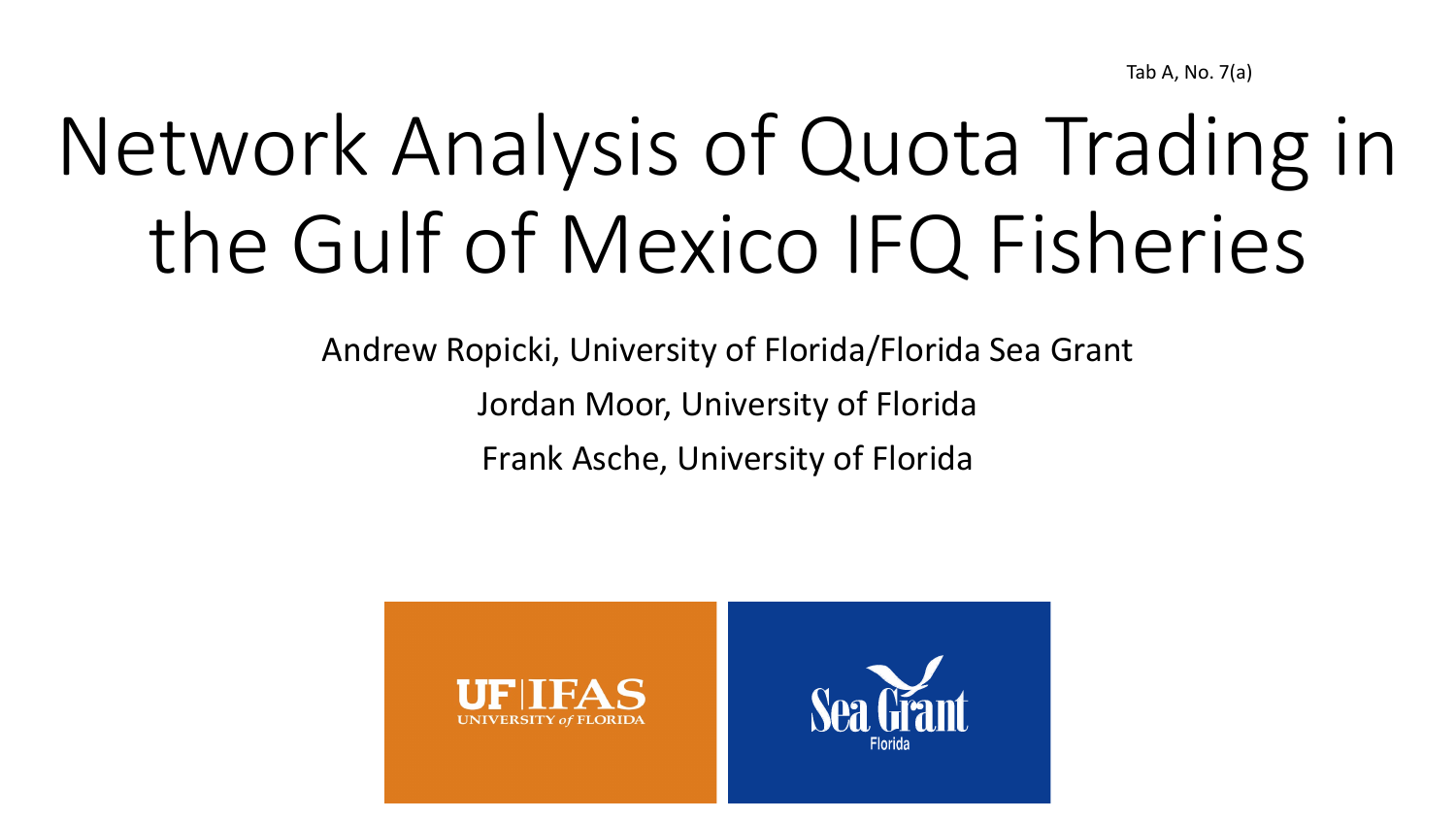Tab A, No. 7(a)

# Network Analysis of Quota Trading in the Gulf of Mexico IFQ Fisheries

Andrew Ropicki, University of Florida/Florida Sea Grant Jordan Moor, University of Florida Frank Asche, University of Florida

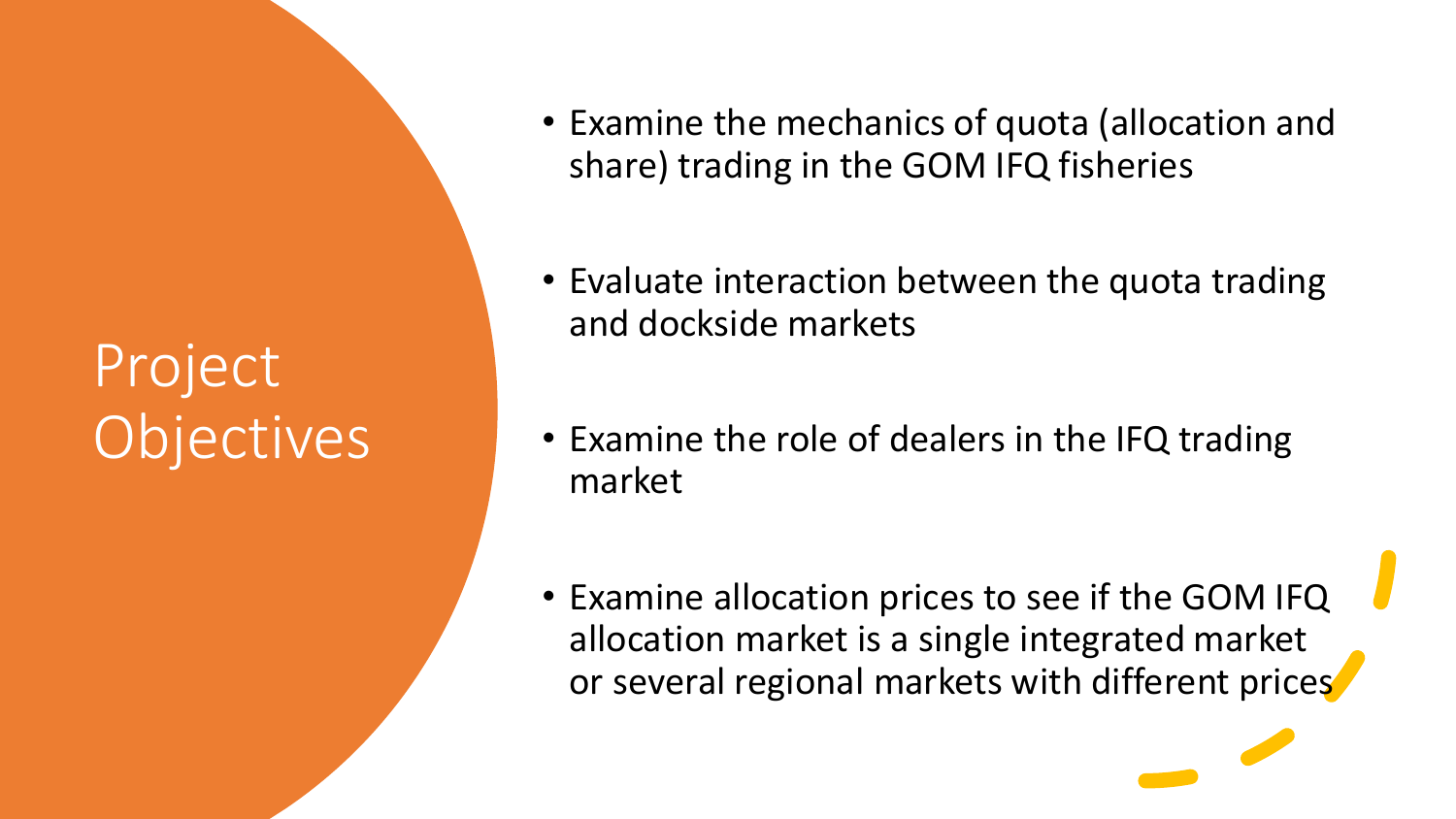### Project Objectives

- Examine the mechanics of quota (allocation and share) trading in the GOM IFQ fisheries
- Evaluate interaction between the quota trading and dockside markets
- Examine the role of dealers in the IFQ trading market
- Examine allocation prices to see if the GOM IFQ allocation market is a single integrated market or several regional markets with different prices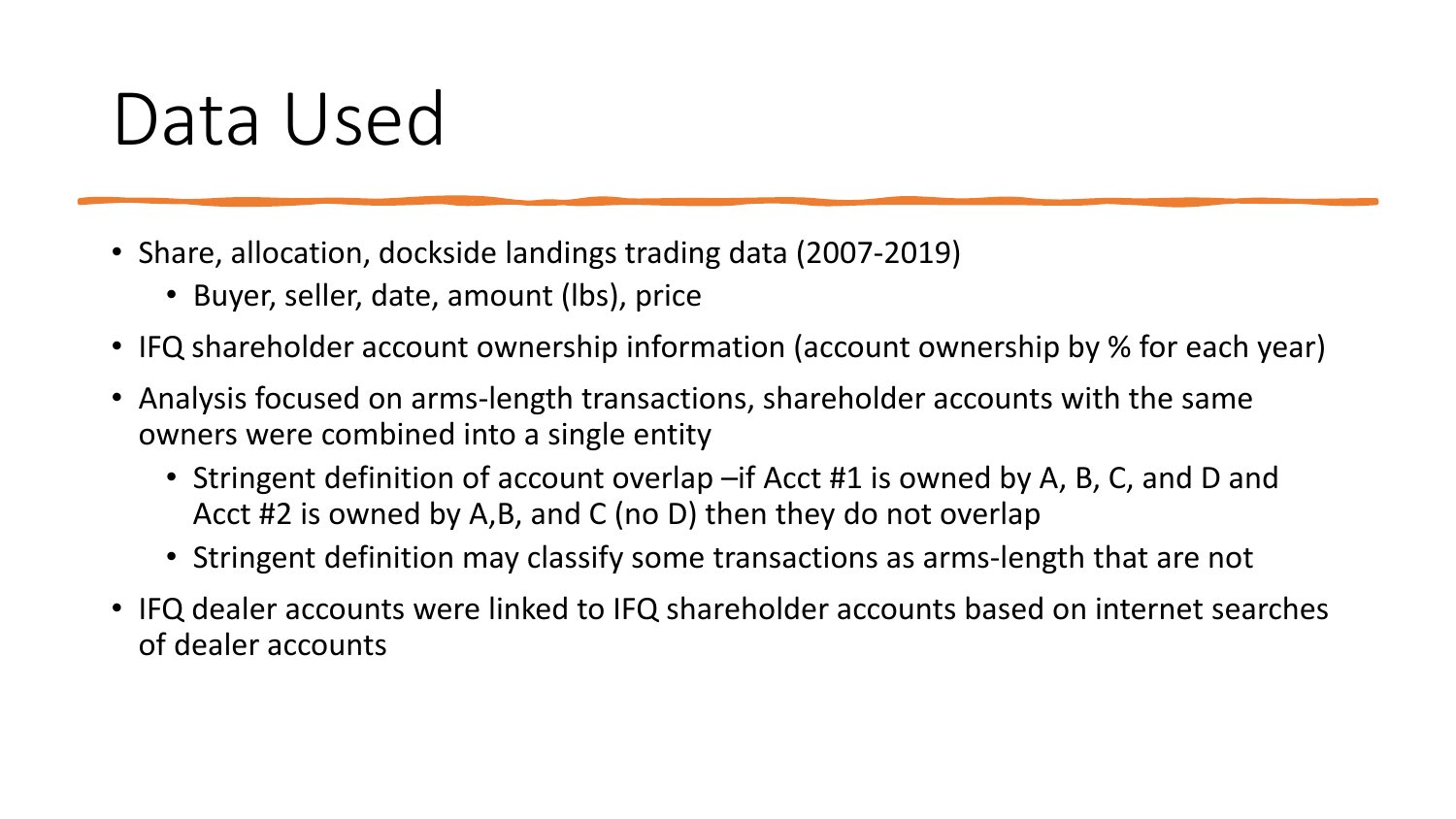### Data Used

- Share, allocation, dockside landings trading data (2007-2019)
	- Buyer, seller, date, amount (lbs), price
- IFQ shareholder account ownership information (account ownership by % for each year)
- Analysis focused on arms-length transactions, shareholder accounts with the same owners were combined into a single entity
	- Stringent definition of account overlap –if Acct #1 is owned by A, B, C, and D and Acct #2 is owned by A,B, and C (no D) then they do not overlap
	- Stringent definition may classify some transactions as arms-length that are not
- IFQ dealer accounts were linked to IFQ shareholder accounts based on internet searches of dealer accounts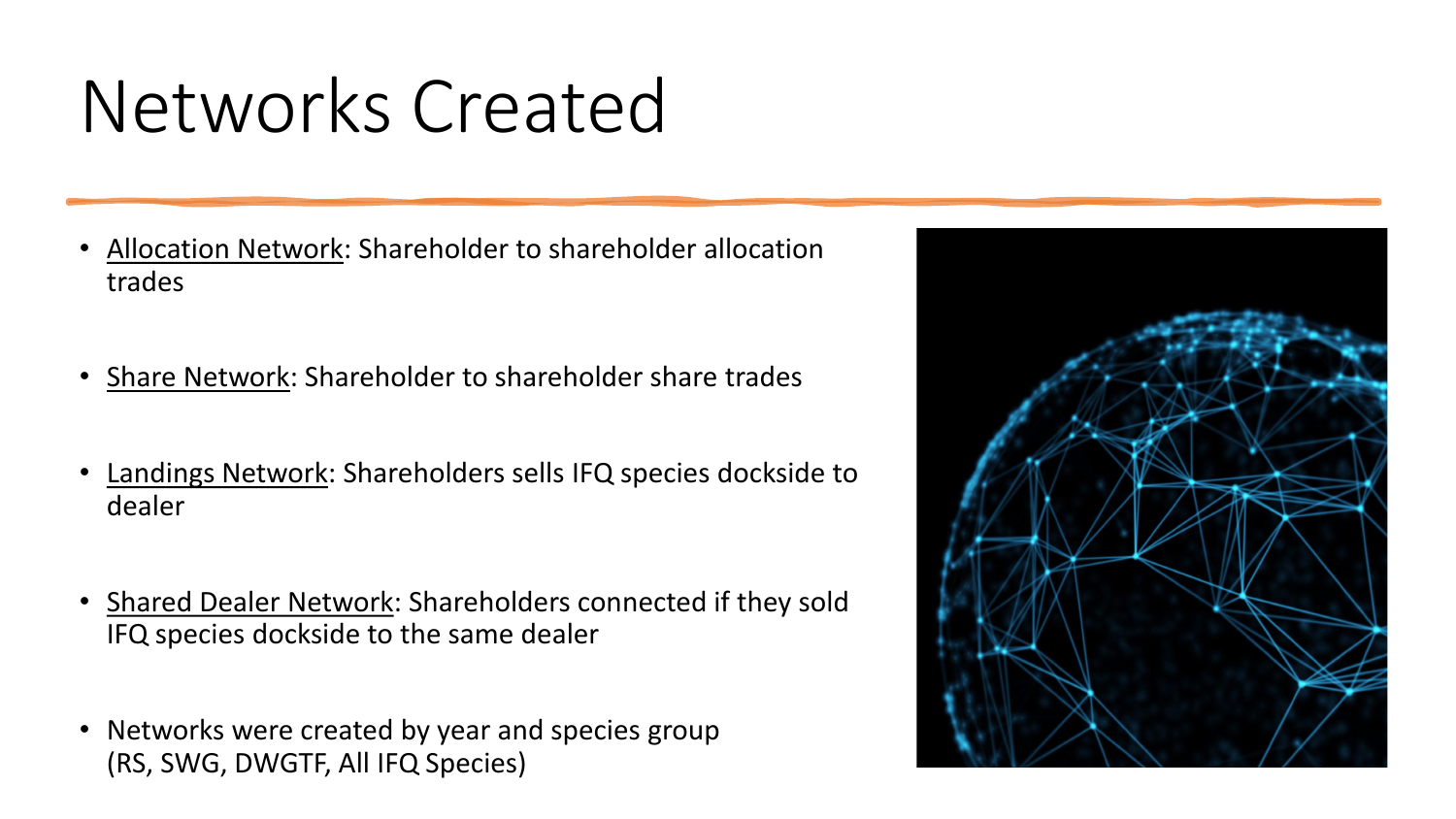## Networks Created

- Allocation Network: Shareholder to shareholder allocation trades
- Share Network: Shareholder to shareholder share trades
- Landings Network: Shareholders sells IFQ species dockside to dealer
- Shared Dealer Network: Shareholders connected if they sold IFQ species dockside to the same dealer
- Networks were created by year and species group (RS, SWG, DWGTF, All IFQ Species)

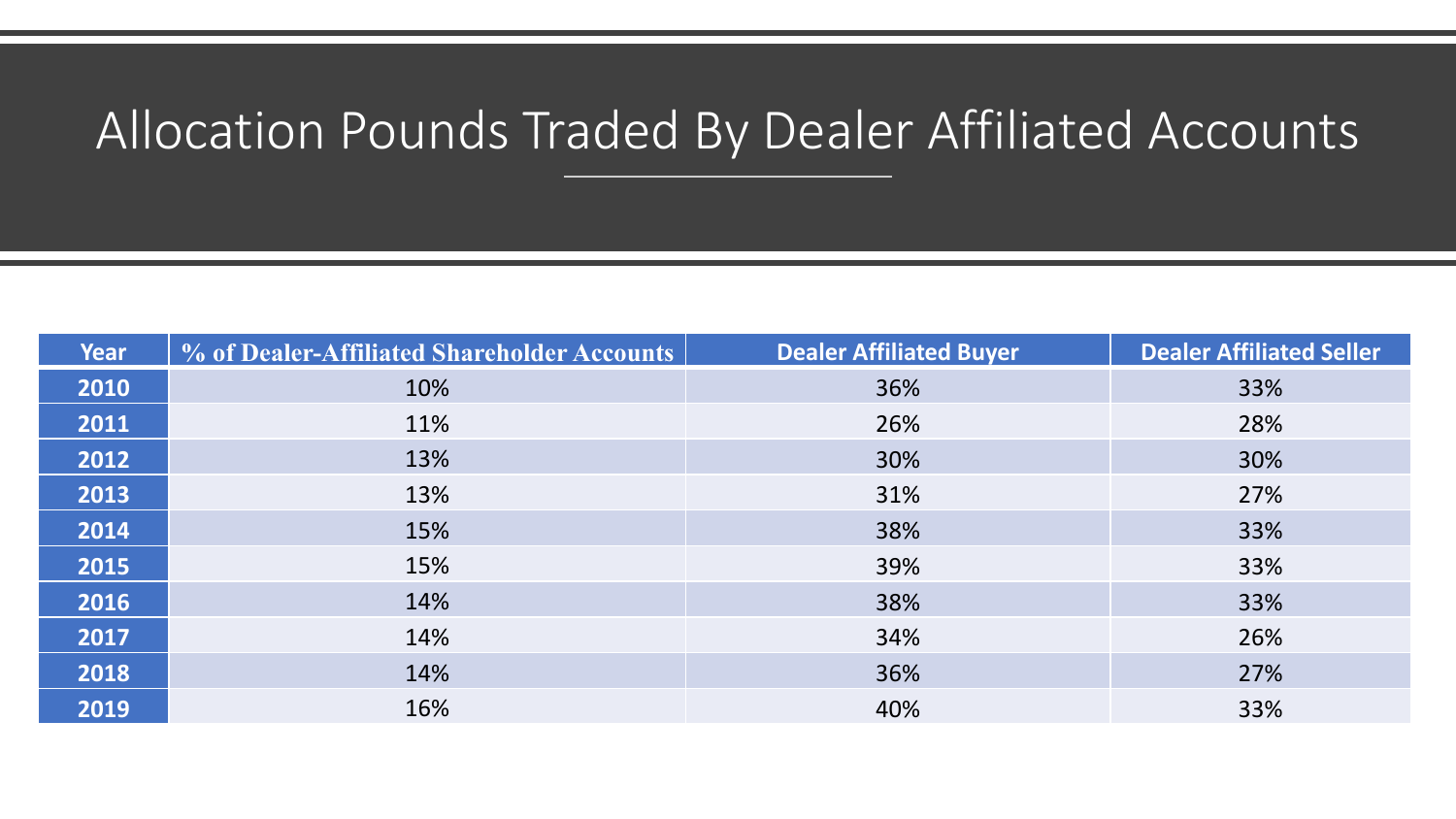#### Allocation Pounds Traded By Dealer Affiliated Accounts

| <b>Year</b> | % of Dealer-Affiliated Shareholder Accounts | <b>Dealer Affiliated Buyer</b> | <b>Dealer Affiliated Seller</b> |
|-------------|---------------------------------------------|--------------------------------|---------------------------------|
| 2010        | 10%                                         | 36%                            | 33%                             |
| 2011        | 11%                                         | 26%                            | 28%                             |
| 2012        | 13%                                         | 30%                            | 30%                             |
| 2013        | 13%                                         | 31%                            | 27%                             |
| 2014        | 15%                                         | 38%                            | 33%                             |
| 2015        | 15%                                         | 39%                            | 33%                             |
| 2016        | 14%                                         | 38%                            | 33%                             |
| 2017        | 14%                                         | 34%                            | 26%                             |
| 2018        | 14%                                         | 36%                            | 27%                             |
| 2019        | 16%                                         | 40%                            | 33%                             |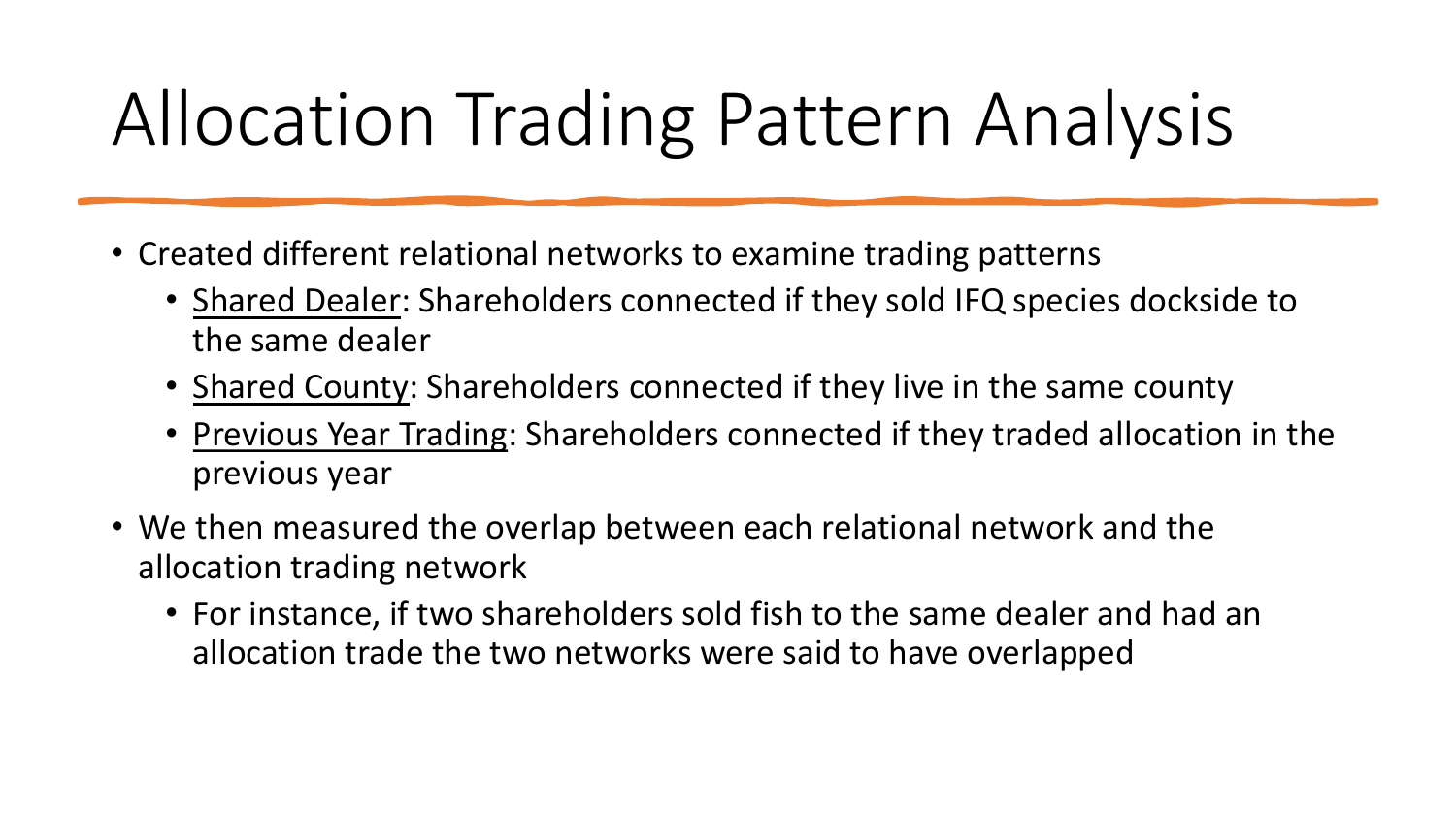# Allocation Trading Pattern Analysis

- Created different relational networks to examine trading patterns
	- Shared Dealer: Shareholders connected if they sold IFQ species dockside to the same dealer
	- Shared County: Shareholders connected if they live in the same county
	- Previous Year Trading: Shareholders connected if they traded allocation in the previous year
- We then measured the overlap between each relational network and the allocation trading network
	- For instance, if two shareholders sold fish to the same dealer and had an allocation trade the two networks were said to have overlapped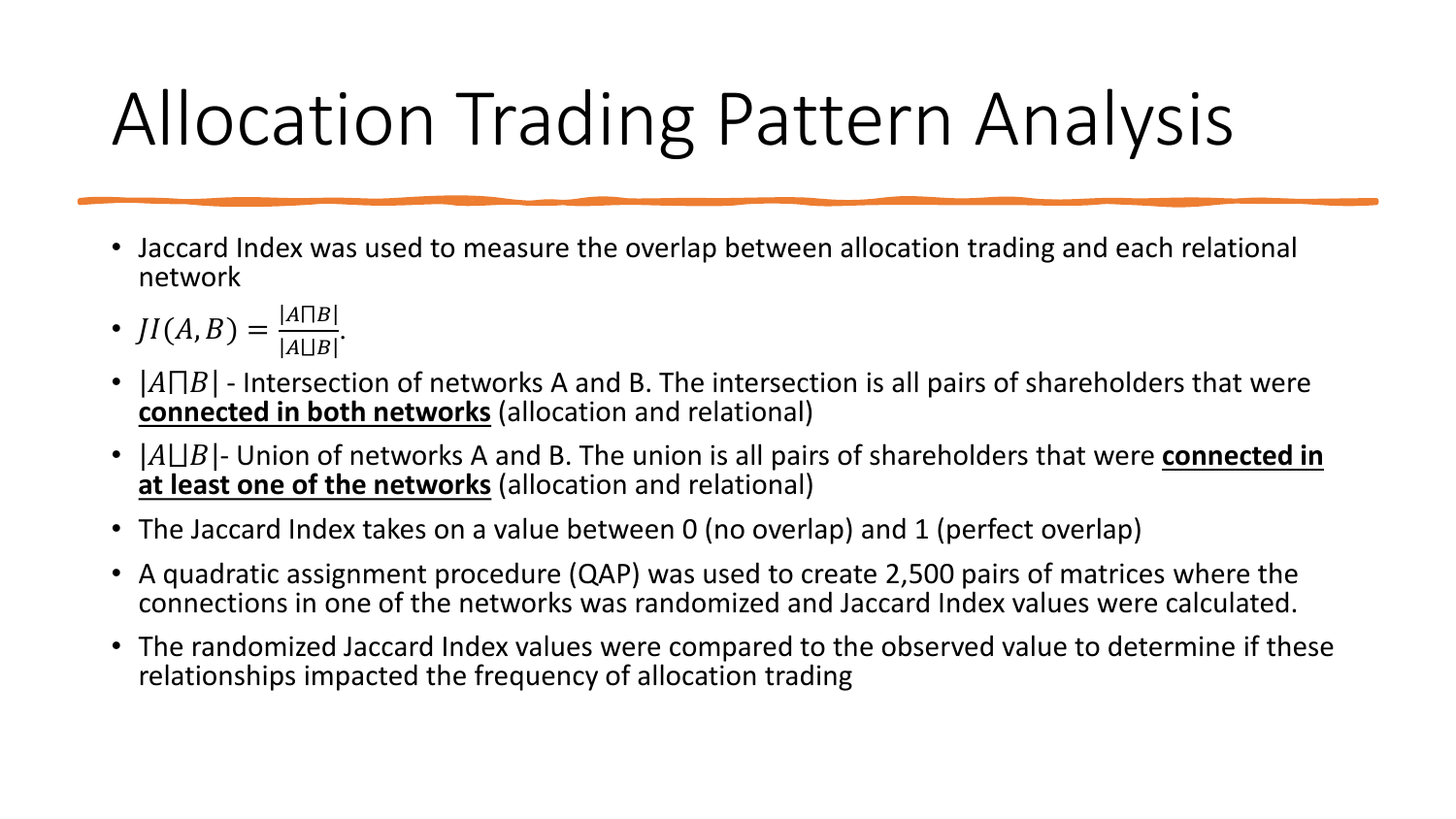# Allocation Trading Pattern Analysis

- Jaccard Index was used to measure the overlap between allocation trading and each relational network
- $JI(A, B) = \frac{|A||B|}{|A||B|}.$
- $|A \cap B|$  Intersection of networks A and B. The intersection is all pairs of shareholders that were **connected in both networks** (allocation and relational)
- $|A \sqcup B|$  Union of networks A and B. The union is all pairs of shareholders that were **connected in at least one of the networks** (allocation and relational)
- The Jaccard Index takes on a value between 0 (no overlap) and 1 (perfect overlap)
- A quadratic assignment procedure (QAP) was used to create 2,500 pairs of matrices where the connections in one of the networks was randomized and Jaccard Index values were calculated.
- The randomized Jaccard Index values were compared to the observed value to determine if these relationships impacted the frequency of allocation trading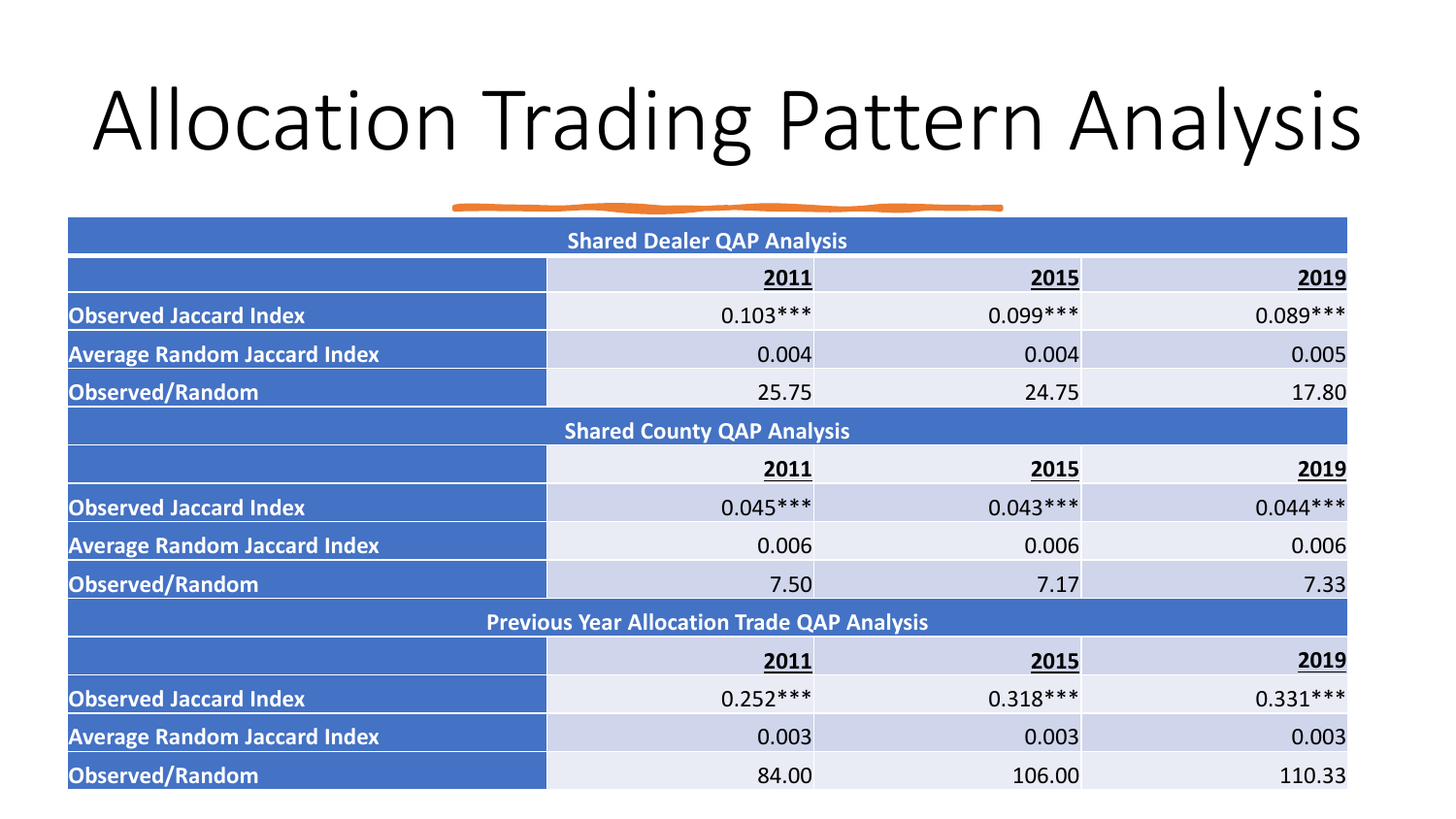# Allocation Trading Pattern Analysis

| <b>Shared Dealer QAP Analysis</b>   |                                                    |            |            |  |  |  |  |  |  |
|-------------------------------------|----------------------------------------------------|------------|------------|--|--|--|--|--|--|
|                                     | 2011                                               | 2015       | 2019       |  |  |  |  |  |  |
| <b>Observed Jaccard Index</b>       | $0.103***$                                         | $0.099***$ | $0.089***$ |  |  |  |  |  |  |
| <b>Average Random Jaccard Index</b> | 0.004                                              | 0.004      | 0.005      |  |  |  |  |  |  |
| Observed/Random                     | 25.75                                              | 24.75      | 17.80      |  |  |  |  |  |  |
|                                     | <b>Shared County QAP Analysis</b>                  |            |            |  |  |  |  |  |  |
|                                     | 2011                                               | 2015       | 2019       |  |  |  |  |  |  |
| <b>Observed Jaccard Index</b>       | $0.045***$                                         | $0.043***$ | $0.044***$ |  |  |  |  |  |  |
| <b>Average Random Jaccard Index</b> | 0.006                                              | 0.006      | 0.006      |  |  |  |  |  |  |
| Observed/Random                     | 7.50                                               | 7.17       | 7.33       |  |  |  |  |  |  |
|                                     | <b>Previous Year Allocation Trade QAP Analysis</b> |            |            |  |  |  |  |  |  |
|                                     | 2011                                               | 2015       | 2019       |  |  |  |  |  |  |
| <b>Observed Jaccard Index</b>       | $0.252***$                                         | $0.318***$ | $0.331***$ |  |  |  |  |  |  |
| <b>Average Random Jaccard Index</b> | 0.003                                              | 0.003      | 0.003      |  |  |  |  |  |  |
| Observed/Random                     | 84.00                                              | 106.00     | 110.33     |  |  |  |  |  |  |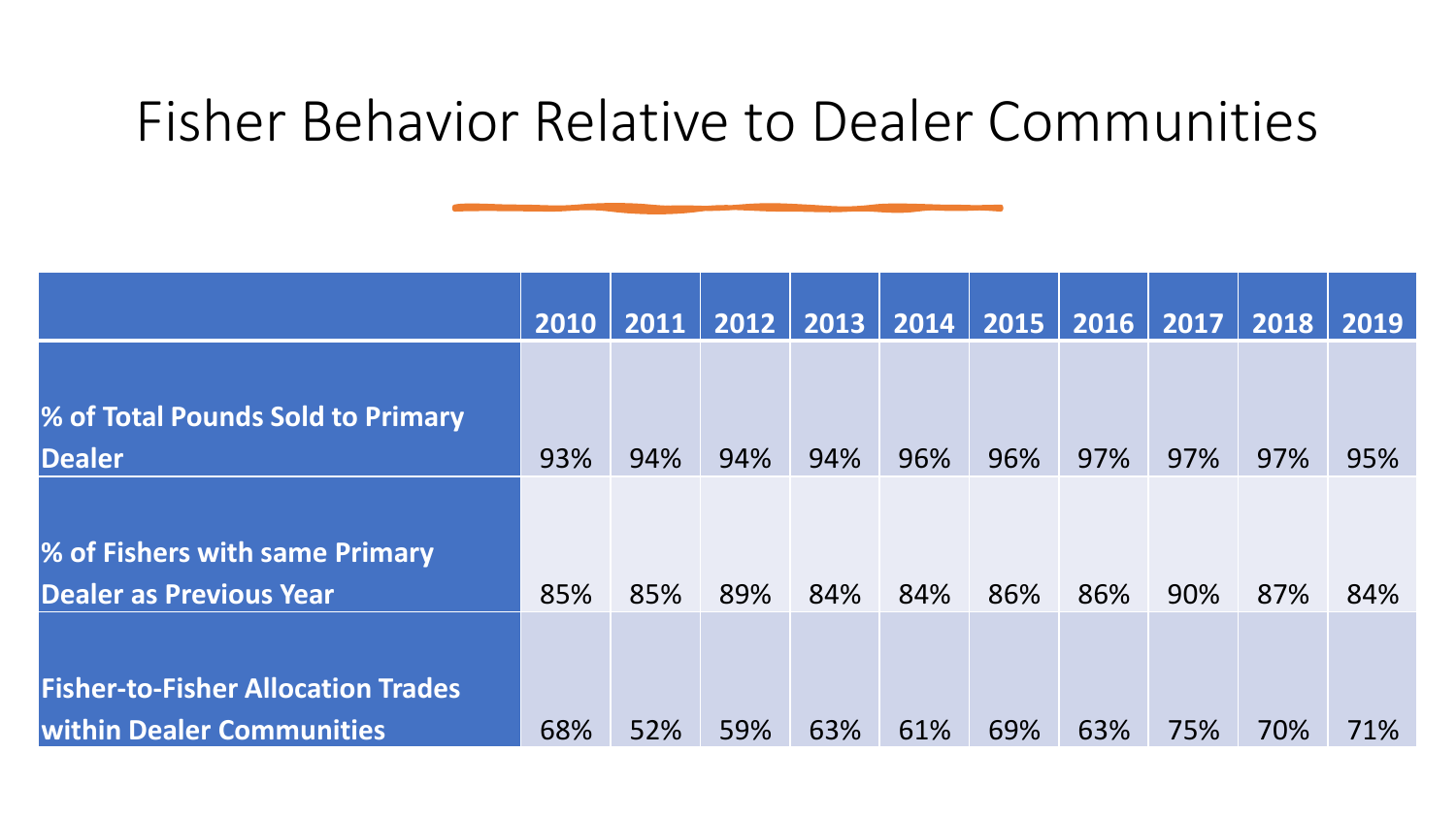#### Fisher Behavior Relative to Dealer Communities

|                                           | 2010 | 2011 | 2012 | 2013 | 2014 | 2015 | 2016 | 2017 | 2018 | 2019 |
|-------------------------------------------|------|------|------|------|------|------|------|------|------|------|
|                                           |      |      |      |      |      |      |      |      |      |      |
| % of Total Pounds Sold to Primary         |      |      |      |      |      |      |      |      |      |      |
| <b>Dealer</b>                             | 93%  | 94%  | 94%  | 94%  | 96%  | 96%  | 97%  | 97%  | 97%  | 95%  |
|                                           |      |      |      |      |      |      |      |      |      |      |
| % of Fishers with same Primary            |      |      |      |      |      |      |      |      |      |      |
| <b>Dealer as Previous Year</b>            | 85%  | 85%  | 89%  | 84%  | 84%  | 86%  | 86%  | 90%  | 87%  | 84%  |
|                                           |      |      |      |      |      |      |      |      |      |      |
| <b>Fisher-to-Fisher Allocation Trades</b> |      |      |      |      |      |      |      |      |      |      |
| <b>Within Dealer Communities</b>          | 68%  | 52%  | 59%  | 63%  | 61%  | 69%  | 63%  | 75%  | 70%  | 71%  |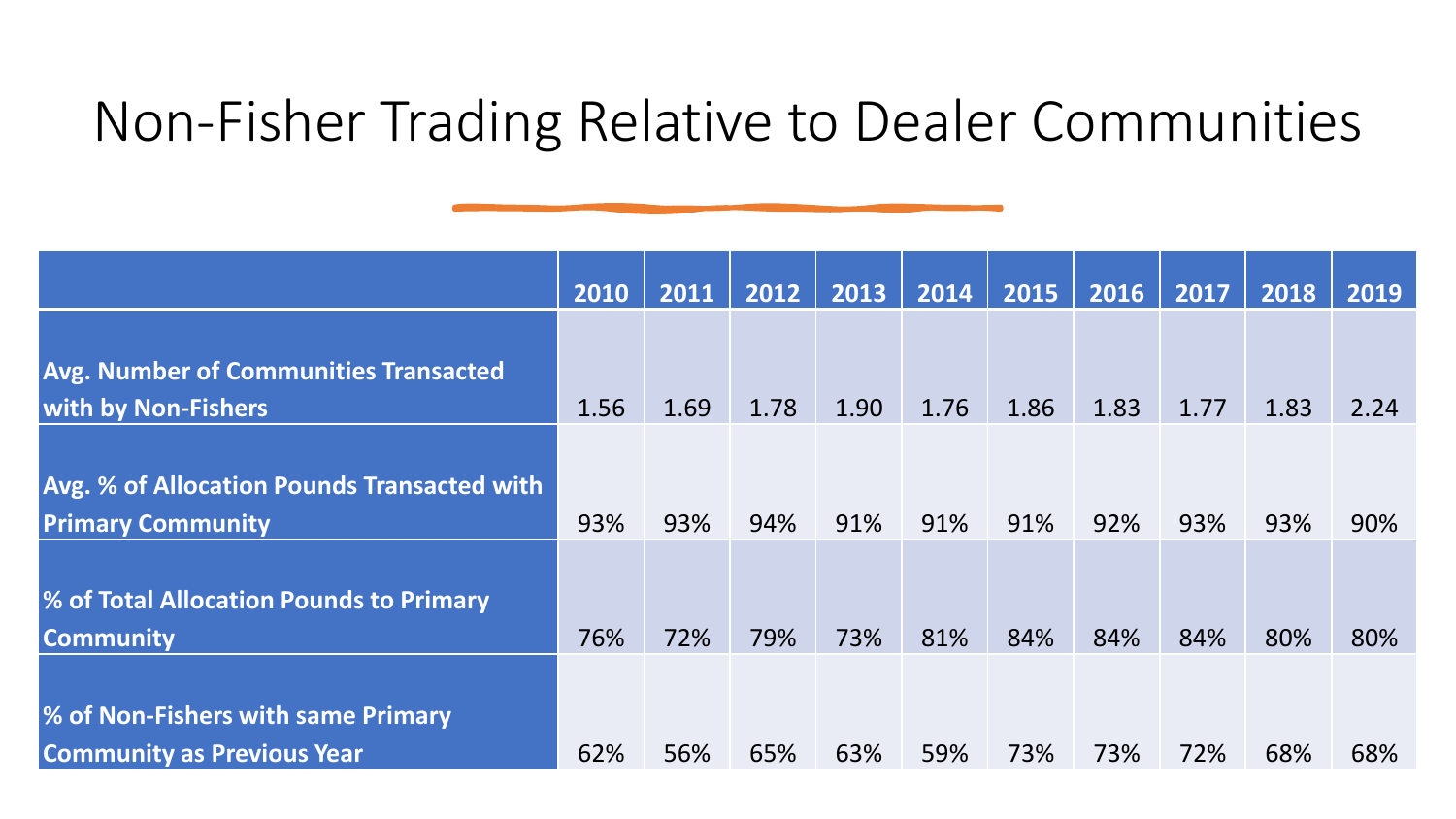#### Non-Fisher Trading Relative to Dealer Communities

|                                                    | 2010 | 2011 | 2012 | 2013 | 2014 | 2015 | 2016 | 2017 | 2018 | 2019 |
|----------------------------------------------------|------|------|------|------|------|------|------|------|------|------|
|                                                    |      |      |      |      |      |      |      |      |      |      |
| <b>Avg. Number of Communities Transacted</b>       |      |      |      |      |      |      |      |      |      |      |
| <b>With by Non-Fishers</b>                         | 1.56 | 1.69 | 1.78 | 1.90 | 1.76 | 1.86 | 1.83 | 1.77 | 1.83 | 2.24 |
|                                                    |      |      |      |      |      |      |      |      |      |      |
| <b>Avg. % of Allocation Pounds Transacted with</b> |      |      |      |      |      |      |      |      |      |      |
| <b>Primary Community</b>                           | 93%  | 93%  | 94%  | 91%  | 91%  | 91%  | 92%  | 93%  | 93%  | 90%  |
|                                                    |      |      |      |      |      |      |      |      |      |      |
| % of Total Allocation Pounds to Primary            |      |      |      |      |      |      |      |      |      |      |
| <b>Community</b>                                   | 76%  | 72%  | 79%  | 73%  | 81%  | 84%  | 84%  | 84%  | 80%  | 80%  |
|                                                    |      |      |      |      |      |      |      |      |      |      |
| % of Non-Fishers with same Primary                 |      |      |      |      |      |      |      |      |      |      |
| <b>Community as Previous Year</b>                  | 62%  | 56%  | 65%  | 63%  | 59%  | 73%  | 73%  | 72%  | 68%  | 68%  |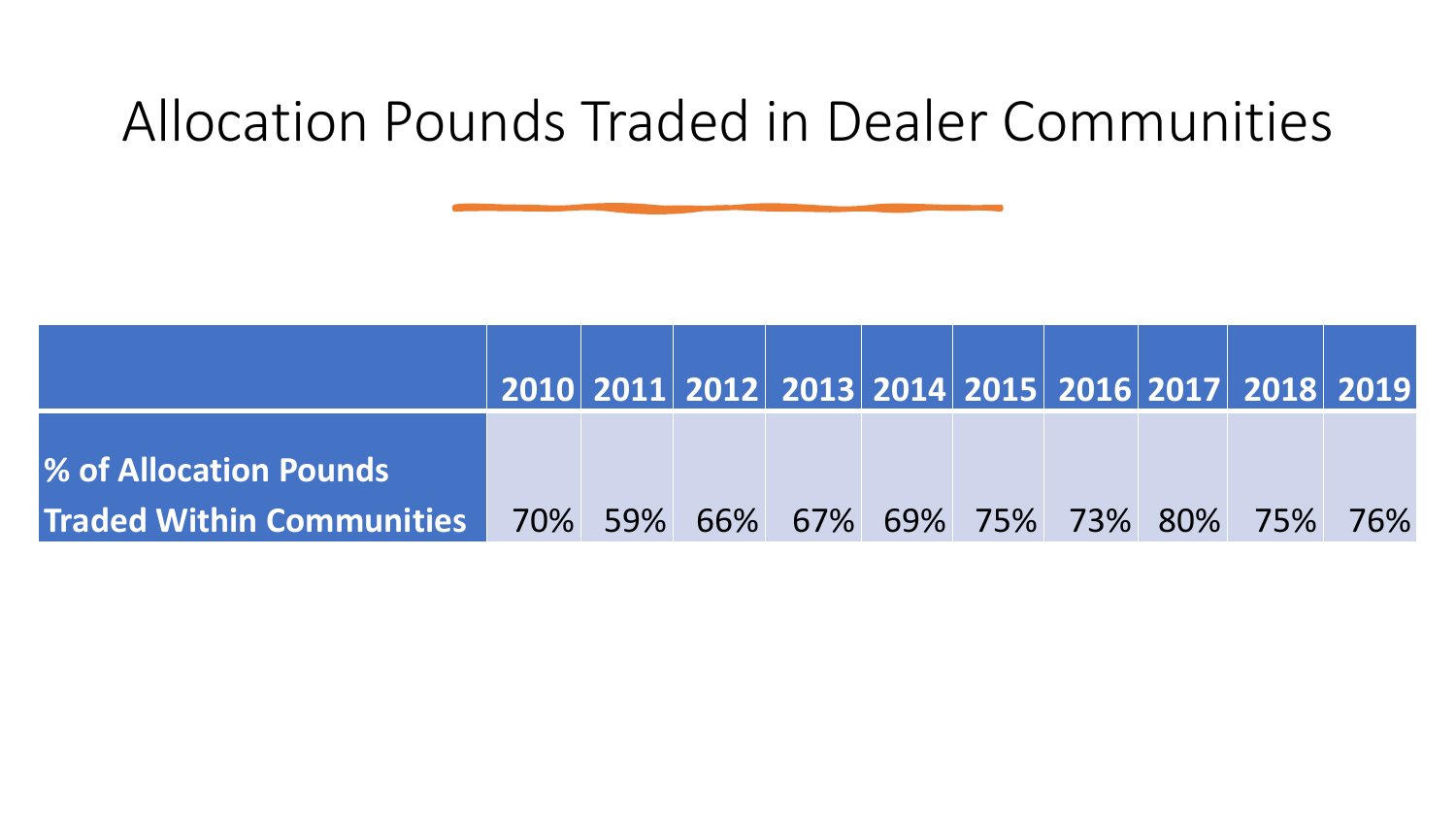#### Allocation Pounds Traded in Dealer Communities

|                                                                     |  | 2010  2011  2012  2013  2014  2015  2016  2017  2018  2019 |  |  |  |
|---------------------------------------------------------------------|--|------------------------------------------------------------|--|--|--|
| <b>1% of Allocation Pounds</b>                                      |  |                                                            |  |  |  |
| Traded Within Communities   70% 59% 66% 67% 69% 75% 73% 80% 75% 76% |  |                                                            |  |  |  |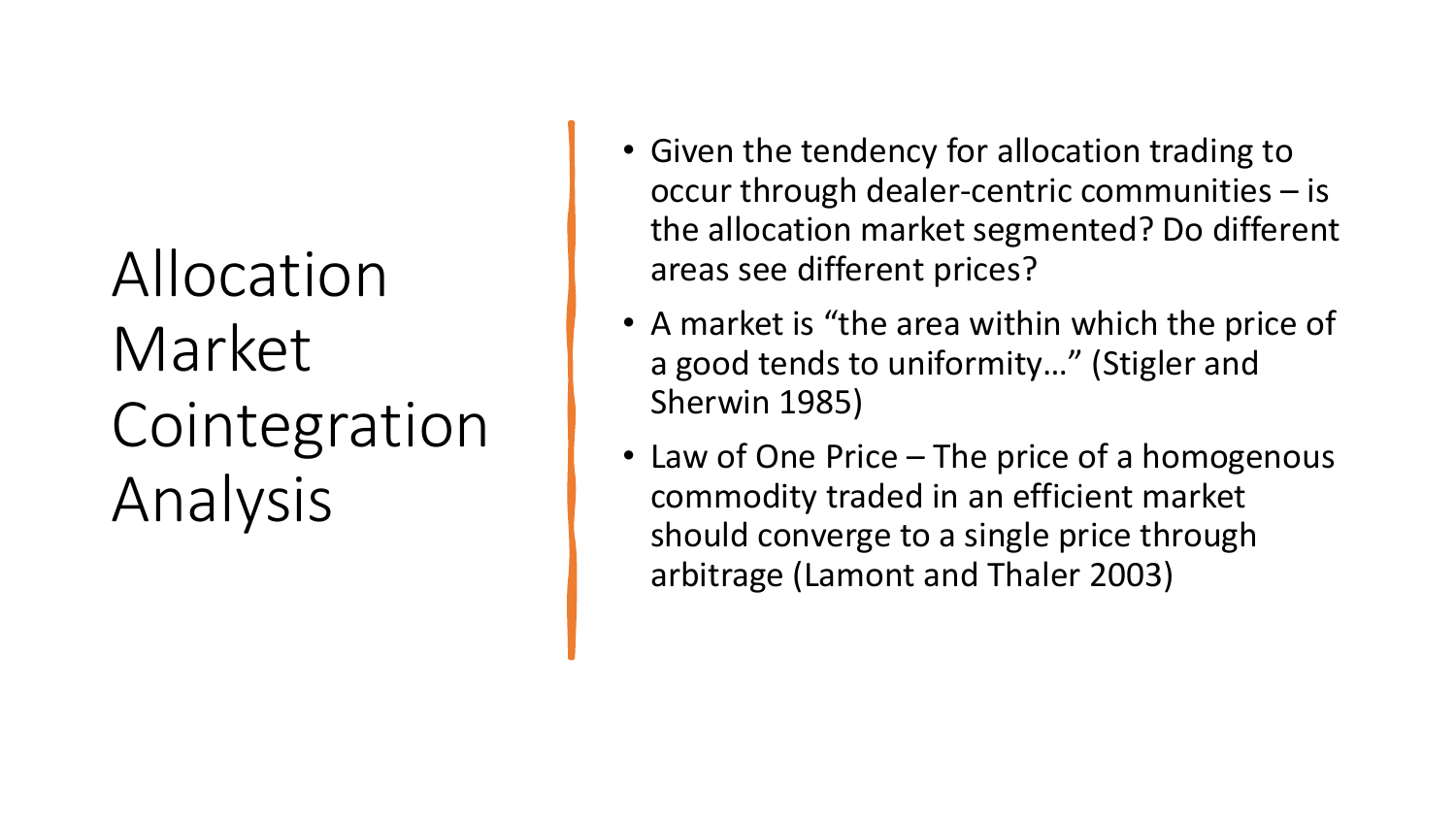Allocation Market Cointegration Analysis

- Given the tendency for allocation trading to occur through dealer-centric communities – is the allocation market segmented? Do different areas see different prices?
- A market is "the area within which the price of a good tends to uniformity…" (Stigler and Sherwin 1985)
- Law of One Price The price of a homogenous commodity traded in an efficient market should converge to a single price through arbitrage (Lamont and Thaler 2003)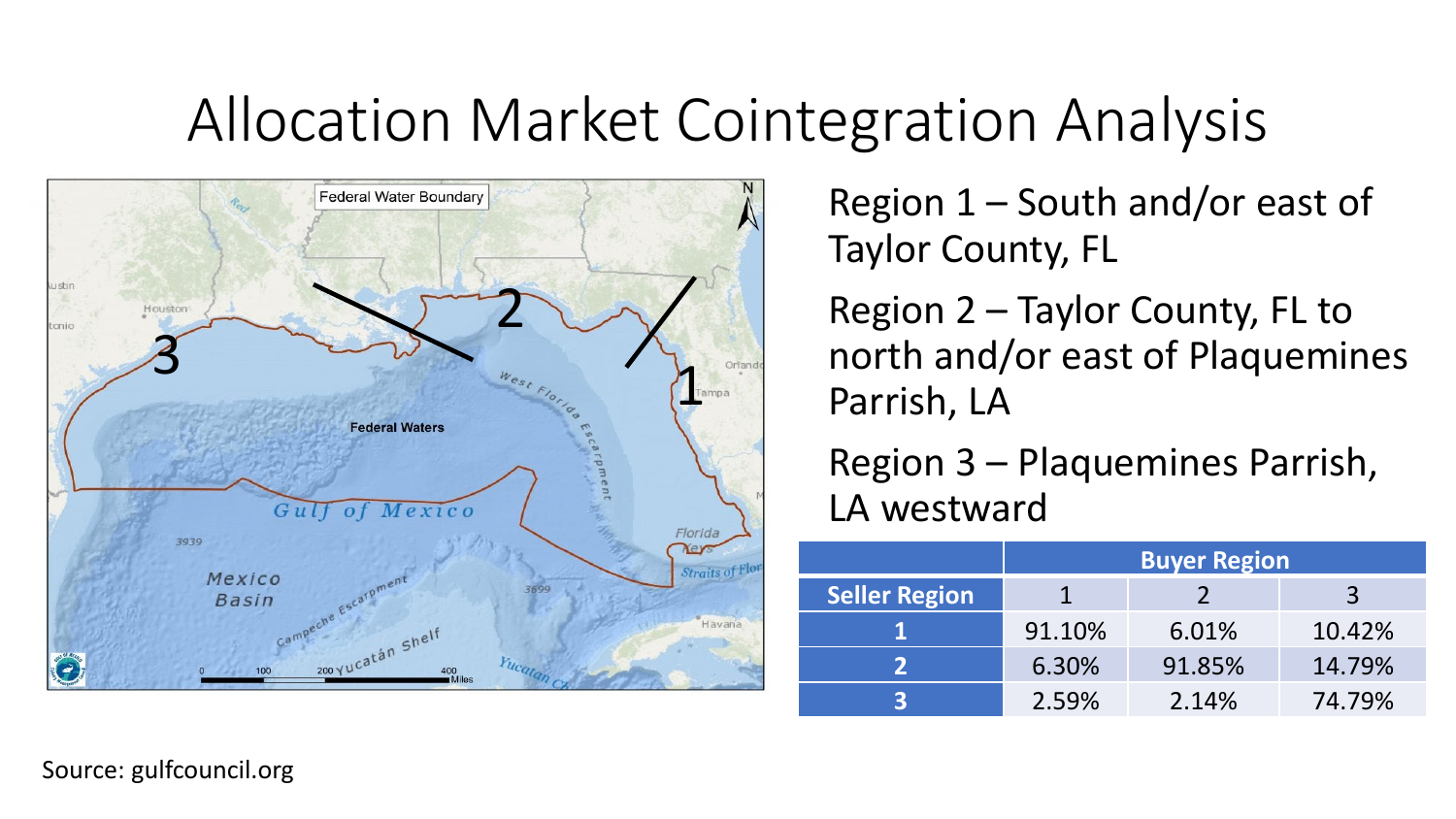### Allocation Market Cointegration Analysis



Region 1 – South and/or east of Taylor County, FL

Region 2 – Taylor County, FL to north and/or east of Plaquemines Parrish, LA

Region 3 – Plaquemines Parrish, LA westward

|                      | <b>Buyer Region</b> |        |        |  |  |  |  |  |  |
|----------------------|---------------------|--------|--------|--|--|--|--|--|--|
| <b>Seller Region</b> |                     |        | R      |  |  |  |  |  |  |
|                      | 91.10%              | 6.01%  | 10.42% |  |  |  |  |  |  |
|                      | 6.30%               | 91.85% | 14.79% |  |  |  |  |  |  |
|                      | 2.59%               | 2.14%  | 74.79% |  |  |  |  |  |  |

Source: gulfcouncil.org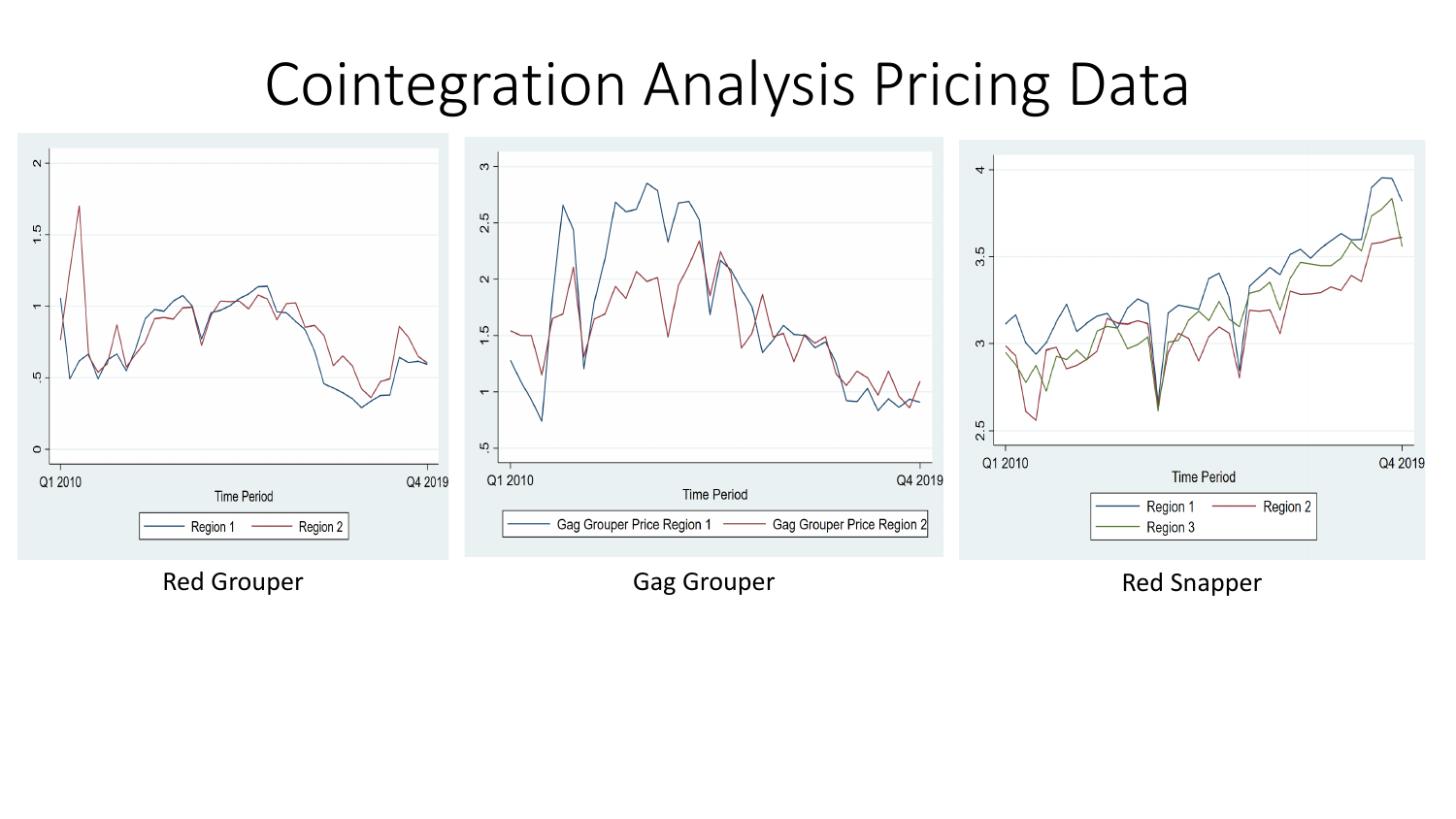### Cointegration Analysis Pricing Data

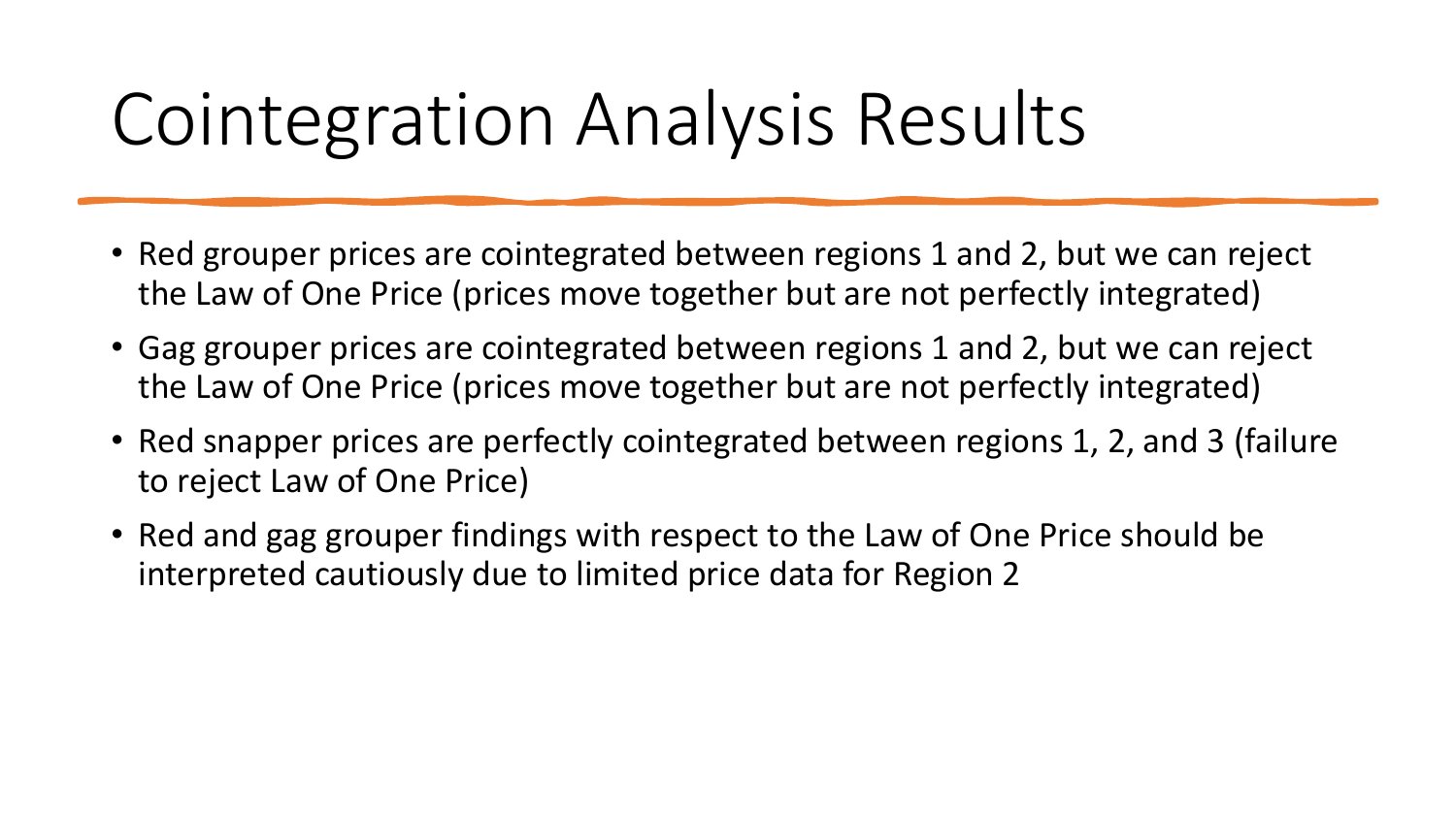### Cointegration Analysis Results

- Red grouper prices are cointegrated between regions 1 and 2, but we can reject the Law of One Price (prices move together but are not perfectly integrated)
- Gag grouper prices are cointegrated between regions 1 and 2, but we can reject the Law of One Price (prices move together but are not perfectly integrated)
- Red snapper prices are perfectly cointegrated between regions 1, 2, and 3 (failure to reject Law of One Price)
- Red and gag grouper findings with respect to the Law of One Price should be interpreted cautiously due to limited price data for Region 2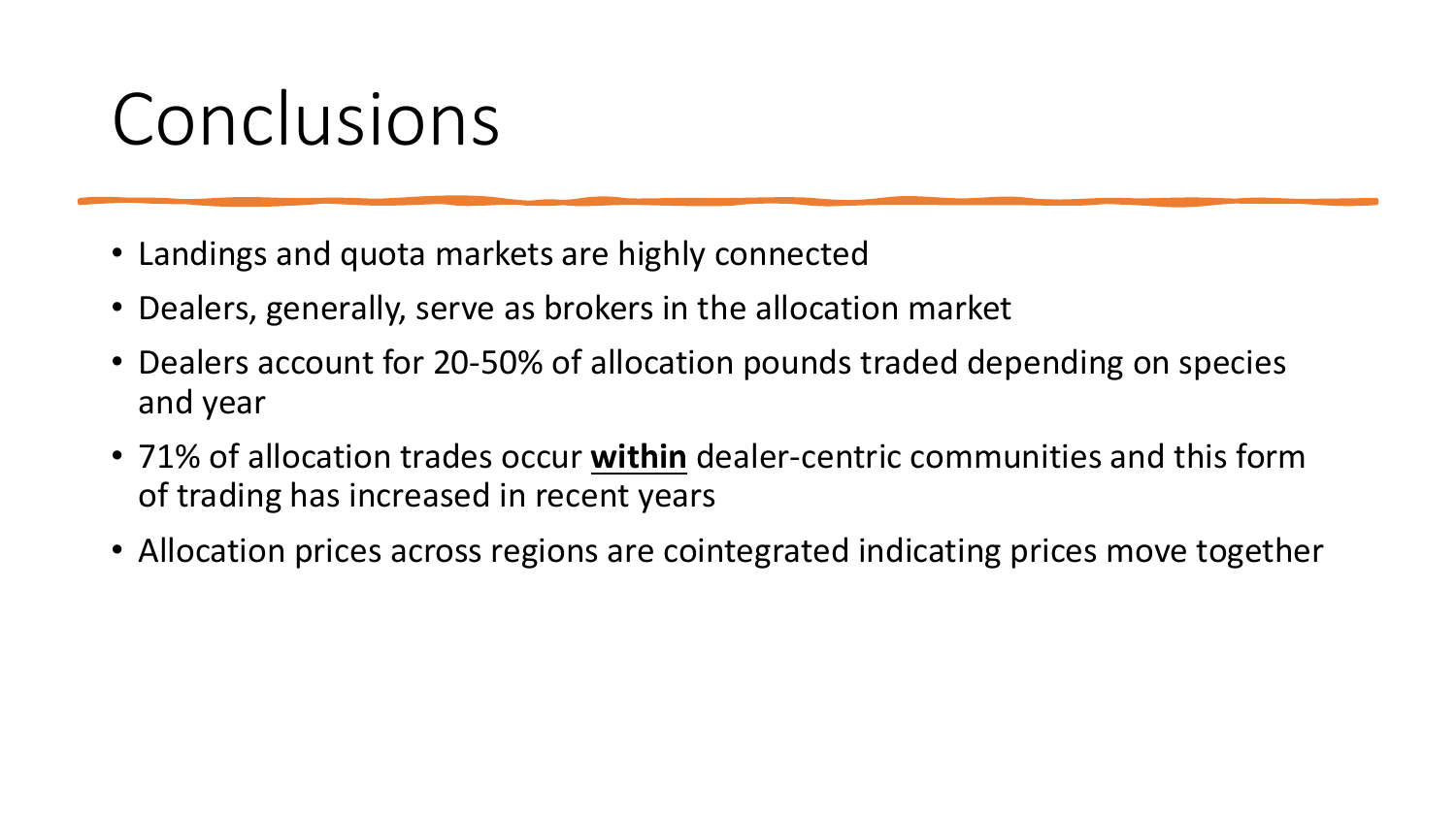### Conclusions

- Landings and quota markets are highly connected
- Dealers, generally, serve as brokers in the allocation market
- Dealers account for 20-50% of allocation pounds traded depending on species and year
- 71% of allocation trades occur **within** dealer-centric communities and this form of trading has increased in recent years
- Allocation prices across regions are cointegrated indicating prices move together